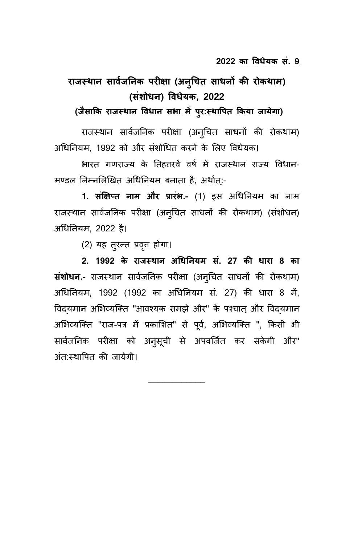# **राजस् थान स सािजन कन सक ीर्षा ा नुन सित स साधन सक कर रथकथा नसंशथधन स विधेयक, 2022**

(जैसाकि राजस्थान विधान सभा में पुर:स्थापित किया जायेगा)

राजस्थान सार्वजनिक परीक्षा (अनुचित साधनों की रोकथाम) अधिनियम, 1992 को और संशोधित करने के लिए विधेयक।

भारत गणराज्य के तिहतरवें वर्ष में राजस्थान राज्य विधान-मण्डल निम्नलिखित अधिनियम बनाता है, अर्थात्:-

1. संक्षिप्त नाम और प्रारंभ.- (1) इस अधिनियम का नाम राजस्थान सार्वजनिक परीक्षा (अनुचित साधनों की रोकथाम) (संशोधन) अधिनियम, 2022 है।

(2) यह तुरन्त प्रवृत्त होगा।

2. 1992 **के राजस्थान अधिनियम सं. 27 की धारा 8** का **संशोधन.-** राजस्थान सार्वजनिक परीक्षा (अनुचित साधनों की रोकथाम) अधिनियम, 1992 (1992 का अधिनियम सं. 27) की धारा 8 में, विदयमान अभिव्यक्ति "आवश्यक समझे और" के पश्चात और विदयमान अभिव्यक्ति "राज-पत्र में प्रकाशित" से पूर्व, अभिव्यक्ति ", किसी भी राार्वजनिक परीक्षा को अन्**सूची से अपवर्जित कर सकेगी और**" अंत:स्थापित की जायेगी।

\_\_\_\_\_\_\_\_\_\_\_\_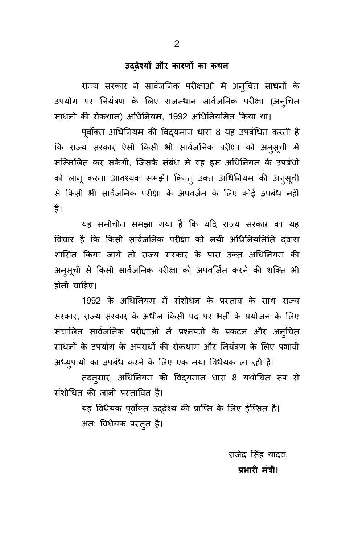### उददेश्यों और कारणों का कथ**न**

राज्य सरकार ने सार्वजनिक परीक्षाओं में अन्चित साधनों के उपयोग पर नियंत्रण के लिए राजस्थान सार्वजनिक परीक्षा (अन्चित साधनों की रोकथाम) अधिनियम, 1992 अधिनियमित किया था।

पूर्वोक्त अधिनियम की विदयमान धारा 8 यह उपबंधित करती है कि राज्य सरकार ऐसी किसी भी सार्वजनिक परीक्षा को अन्**स्**ची में राम्मिलित कर सकेगी, जिसके संबंध में वह इस अधिनियम के उपबंधों को लागू करना आवश्यक समझे। किन्त् उक्त अधिनियम की अनुसूची से किसी भी सार्वजनिक परीक्षा के अपवर्जन के लिए कोई उपबंध नहीं है।

यह समीचीन समझा गया है कि यदि राज्य सरकार का यह विचार है कि किसी सार्वजनिक परीक्षा को नयी अधिनियमिति दवारा शासित किया जाये तो राज्य सरकार के पास उक्त अधिनियम की अनुसूची से किसी सार्वजनिक परीक्षा को अपवर्जित करने की शक्ति भी होनी चाहिए।

1992 के अधिनियम में संशोधन के प्रस्ताव के साथ राज्य सरकार, राज्य सरकार के अधीन किसी पद पर भर्ती के प्रयोजन के लिए संचालित सार्वजनिक परीक्षाओं में प्रश्नपत्रों के प्रकटन और अन्चित साधनों के उपयोग के अपराधों की रोकथाम और नियंत्रण के लिए प्रभावी अध्युपायों का उपबंध करने के लिए एक नया विधेयक ला रही है।

तदन्सार, अधिनियम की विद्यमान धारा 8 यथोचित रूप से संशोधित की जानी प्रस्तावित है।

> यह विधेयक पूर्वोक्त उद्देश्य की प्राप्ति के लिए ईप्सित है। अत: विधेयक प्रस्तुत है।

> > राजेंद्र सिंह यादव, प्रभारी मंत्री।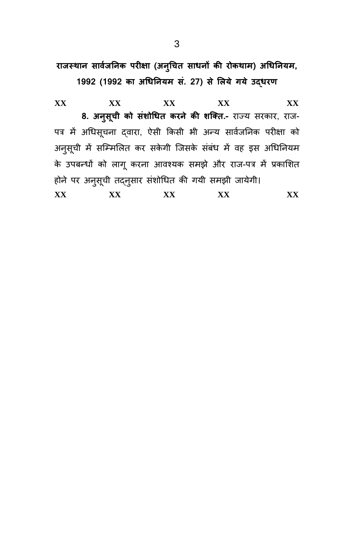**राजस् थान स सािजन कन सक ीर्षा ा नुन सति स साधन सक कर रथकथा ुतधकन सय** 

1992 (1992 का अधिनियम सं. 27) से लिये गये उद्**धरण** 

**XX XX XX XX XX क. ुन ससि ू ी कथ सशं थतधस करन से कर शक्तस.-** राज् य ररपार, राज- पत्र में अधिसूचना द्वारा, ऐसी किसी भी अन्य सार्वजनिक परीक्षा को अनुसूची में सम्मिलित कर सकेगी जिसके संबंध में वह इस अधिनियम के उपबन्धों को लागू करना आवश्यक समझे और राज-पत्र में प्रकाशित होने पर अनुसूची तद्नुसार संशोधित की गयी समझी जायेगी। **XX XX XX XX XX**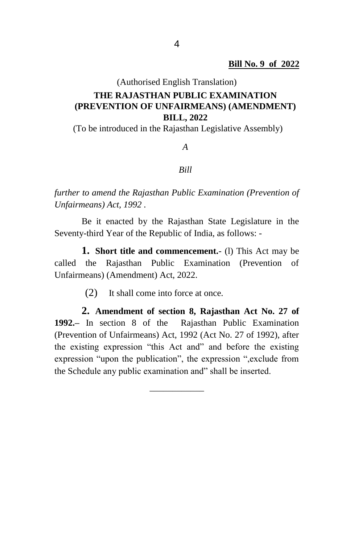## (Authorised English Translation) **THE RAJASTHAN PUBLIC EXAMINATION (PREVENTION OF UNFAIRMEANS) (AMENDMENT) BILL, 2022**

(To be introduced in the Rajasthan Legislative Assembly)

*A* 

#### *Bill*

*further to amend the Rajasthan Public Examination (Prevention of Unfairmeans) Act, 1992 .* 

Be it enacted by the Rajasthan State Legislature in the Seventy-third Year of the Republic of India, as follows: -

**1. Short title and commencement.**- (l) This Act may be called the Rajasthan Public Examination (Prevention of Unfairmeans) (Amendment) Act, 2022.

(2) It shall come into force at once.

**2. Amendment of section 8, Rajasthan Act No. 27 of 1992.–** In section 8 of the Rajasthan Public Examination (Prevention of Unfairmeans) Act, 1992 (Act No. 27 of 1992), after the existing expression "this Act and" and before the existing expression "upon the publication", the expression ",exclude from the Schedule any public examination and" shall be inserted.

\_\_\_\_\_\_\_\_\_\_\_\_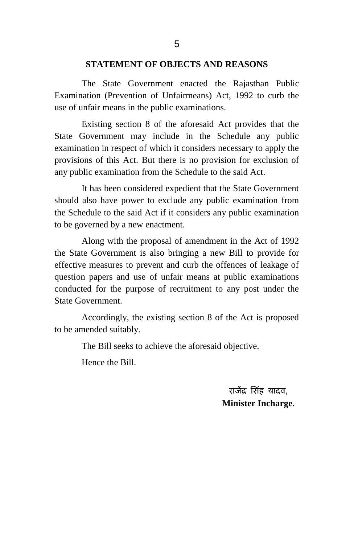#### **STATEMENT OF OBJECTS AND REASONS**

The State Government enacted the Rajasthan Public Examination (Prevention of Unfairmeans) Act, 1992 to curb the use of unfair means in the public examinations.

Existing section 8 of the aforesaid Act provides that the State Government may include in the Schedule any public examination in respect of which it considers necessary to apply the provisions of this Act. But there is no provision for exclusion of any public examination from the Schedule to the said Act.

It has been considered expedient that the State Government should also have power to exclude any public examination from the Schedule to the said Act if it considers any public examination to be governed by a new enactment.

Along with the proposal of amendment in the Act of 1992 the State Government is also bringing a new Bill to provide for effective measures to prevent and curb the offences of leakage of question papers and use of unfair means at public examinations conducted for the purpose of recruitment to any post under the State Government.

Accordingly, the existing section 8 of the Act is proposed to be amended suitably.

The Bill seeks to achieve the aforesaid objective.

Hence the Bill.

राजेंद्र सिंह यादव, **Minister Incharge.**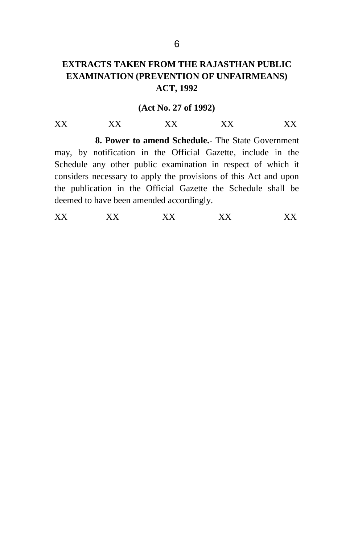### **EXTRACTS TAKEN FROM THE RAJASTHAN PUBLIC EXAMINATION (PREVENTION OF UNFAIRMEANS) ACT, 1992**

#### **(Act No. 27 of 1992)**

XX XX XX XX XX **8. Power to amend Schedule.-** The State Government may, by notification in the Official Gazette, include in the Schedule any other public examination in respect of which it considers necessary to apply the provisions of this Act and upon the publication in the Official Gazette the Schedule shall be deemed to have been amended accordingly.

XX XX XX XX XX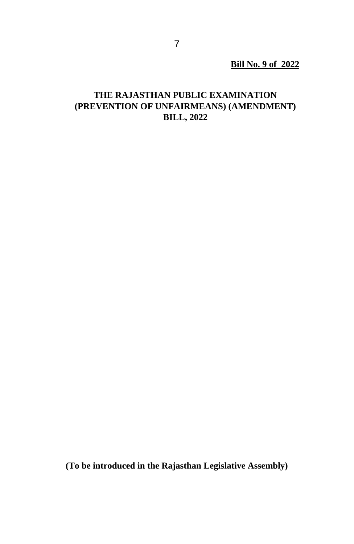**Bill No. 9 of 2022**

### **THE RAJASTHAN PUBLIC EXAMINATION (PREVENTION OF UNFAIRMEANS) (AMENDMENT) BILL, 2022**

**(To be introduced in the Rajasthan Legislative Assembly)**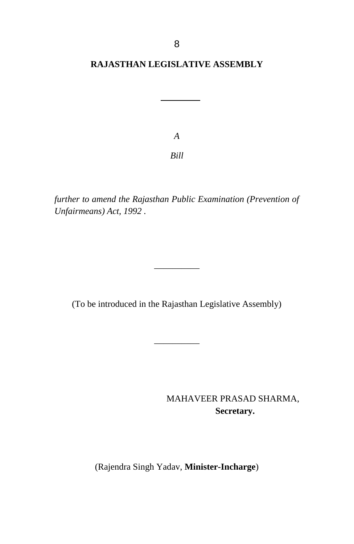## **RAJASTHAN LEGISLATIVE ASSEMBLY**

*A Bill*

*further to amend the Rajasthan Public Examination (Prevention of Unfairmeans) Act, 1992 .* 

(To be introduced in the Rajasthan Legislative Assembly)

 $\overline{\phantom{a}}$ 

\_\_\_\_\_\_\_\_\_\_

MAHAVEER PRASAD SHARMA,  **Secretary.**

(Rajendra Singh Yadav, **Minister-Incharge**)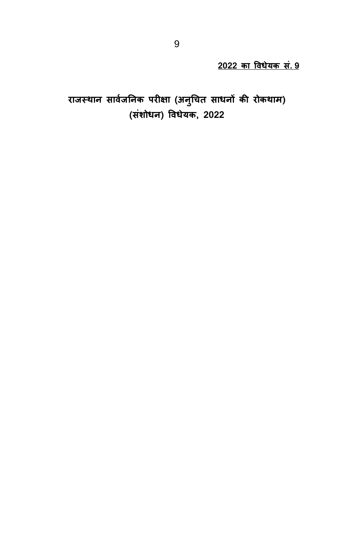**2022 का विधेयक सं. 9** 

**राजस् थान स सािजन कन सक ीर्षा ा नुन सित स साधन सक कर रथकथा नसंशथधन स विधेयक, 2022**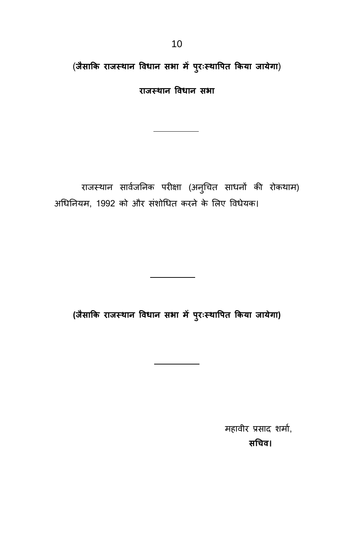(जैसाकि राजस्थान विधान सभा में पुरःस्थापित किया जायेगा)

**राजस् थान स विधान स स ा**

राजस्थान सार्वजनिक परीक्षा (अनुचित साधनों की रोकथाम) अधिनियम, 1992 को और संशोधित करने के लिए विधेयक।

**(जैसाकक राजस् थान स विधान स स ा पीरिःस्थावीस ककया जाये ा)**

महावीर प्रसाद शर्मा, सचिव।